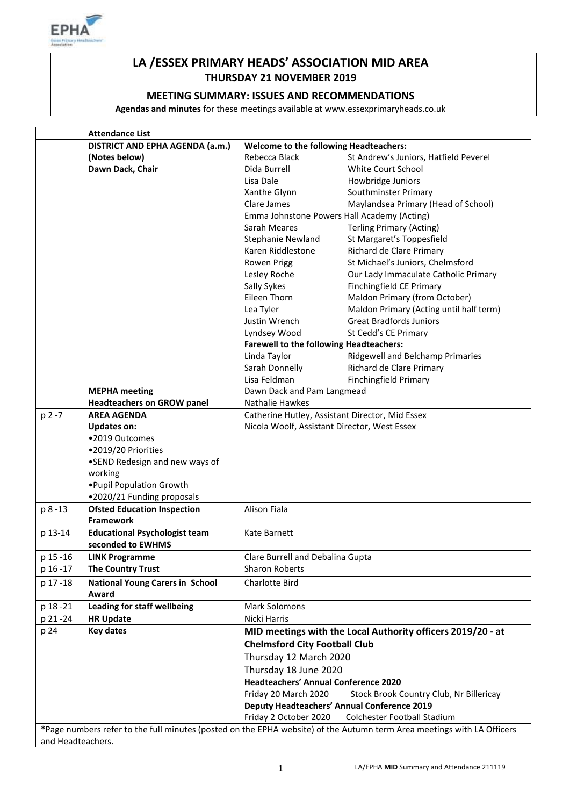

# **LA /ESSEX PRIMARY HEADS' ASSOCIATION MID AREA THURSDAY 21 NOVEMBER 2019**

## **MEETING SUMMARY: ISSUES AND RECOMMENDATIONS**

**Agendas and minutes** for these meetings available at www.essexprimaryheads.co.uk

|                   | <b>Attendance List</b>                 |                                                             |                                                                                                                        |  |
|-------------------|----------------------------------------|-------------------------------------------------------------|------------------------------------------------------------------------------------------------------------------------|--|
|                   | <b>DISTRICT AND EPHA AGENDA (a.m.)</b> | <b>Welcome to the following Headteachers:</b>               |                                                                                                                        |  |
|                   | (Notes below)                          | Rebecca Black                                               | St Andrew's Juniors, Hatfield Peverel                                                                                  |  |
|                   | Dawn Dack, Chair                       | Dida Burrell                                                | <b>White Court School</b>                                                                                              |  |
|                   |                                        | Lisa Dale                                                   | Howbridge Juniors                                                                                                      |  |
|                   |                                        | Xanthe Glynn                                                | Southminster Primary                                                                                                   |  |
|                   |                                        | Clare James                                                 | Maylandsea Primary (Head of School)                                                                                    |  |
|                   |                                        |                                                             | Emma Johnstone Powers Hall Academy (Acting)                                                                            |  |
|                   |                                        | Sarah Meares                                                | <b>Terling Primary (Acting)</b>                                                                                        |  |
|                   |                                        | Stephanie Newland                                           | St Margaret's Toppesfield                                                                                              |  |
|                   |                                        | Karen Riddlestone                                           | Richard de Clare Primary                                                                                               |  |
|                   |                                        | Rowen Prigg                                                 | St Michael's Juniors, Chelmsford                                                                                       |  |
|                   |                                        | Lesley Roche                                                | Our Lady Immaculate Catholic Primary                                                                                   |  |
|                   |                                        | Sally Sykes                                                 | Finchingfield CE Primary                                                                                               |  |
|                   |                                        | Eileen Thorn                                                | Maldon Primary (from October)                                                                                          |  |
|                   |                                        | Lea Tyler                                                   | Maldon Primary (Acting until half term)                                                                                |  |
|                   |                                        | Justin Wrench                                               | <b>Great Bradfords Juniors</b>                                                                                         |  |
|                   |                                        | Lyndsey Wood                                                | St Cedd's CE Primary                                                                                                   |  |
|                   |                                        | <b>Farewell to the following Headteachers:</b>              |                                                                                                                        |  |
|                   |                                        | Linda Taylor                                                | Ridgewell and Belchamp Primaries                                                                                       |  |
|                   |                                        | Sarah Donnelly                                              | Richard de Clare Primary                                                                                               |  |
|                   |                                        | Lisa Feldman                                                | <b>Finchingfield Primary</b>                                                                                           |  |
|                   | <b>MEPHA</b> meeting                   | Dawn Dack and Pam Langmead                                  |                                                                                                                        |  |
|                   | <b>Headteachers on GROW panel</b>      | Nathalie Hawkes                                             |                                                                                                                        |  |
| p 2 -7            | <b>AREA AGENDA</b>                     |                                                             | Catherine Hutley, Assistant Director, Mid Essex                                                                        |  |
|                   | <b>Updates on:</b>                     | Nicola Woolf, Assistant Director, West Essex                |                                                                                                                        |  |
|                   | •2019 Outcomes                         |                                                             |                                                                                                                        |  |
|                   | ·2019/20 Priorities                    |                                                             |                                                                                                                        |  |
|                   | •SEND Redesign and new ways of         |                                                             |                                                                                                                        |  |
|                   | working                                |                                                             |                                                                                                                        |  |
|                   | . Pupil Population Growth              |                                                             |                                                                                                                        |  |
|                   | .2020/21 Funding proposals             |                                                             |                                                                                                                        |  |
| p 8-13            | <b>Ofsted Education Inspection</b>     | <b>Alison Fiala</b>                                         |                                                                                                                        |  |
|                   | <b>Framework</b>                       |                                                             |                                                                                                                        |  |
| p 13-14           | <b>Educational Psychologist team</b>   | Kate Barnett                                                |                                                                                                                        |  |
|                   | seconded to EWHMS                      |                                                             |                                                                                                                        |  |
| p 15 - 16         | LINK Programme                         | Clare Burrell and Debalina Gupta                            |                                                                                                                        |  |
| p 16 - 17         | <b>The Country Trust</b>               | <b>Sharon Roberts</b>                                       |                                                                                                                        |  |
| p 17-18           | <b>National Young Carers in School</b> | Charlotte Bird                                              |                                                                                                                        |  |
|                   | Award                                  |                                                             |                                                                                                                        |  |
|                   |                                        | <b>Mark Solomons</b>                                        |                                                                                                                        |  |
| p 18 - 21         | Leading for staff wellbeing            |                                                             |                                                                                                                        |  |
| p 21 - 24         | <b>HR Update</b><br><b>Key dates</b>   | Nicki Harris                                                |                                                                                                                        |  |
| p 24              |                                        | MID meetings with the Local Authority officers 2019/20 - at |                                                                                                                        |  |
|                   |                                        | <b>Chelmsford City Football Club</b>                        |                                                                                                                        |  |
|                   |                                        | Thursday 12 March 2020                                      |                                                                                                                        |  |
|                   |                                        | Thursday 18 June 2020                                       |                                                                                                                        |  |
|                   |                                        | <b>Headteachers' Annual Conference 2020</b>                 |                                                                                                                        |  |
|                   |                                        | Friday 20 March 2020                                        | Stock Brook Country Club, Nr Billericay                                                                                |  |
|                   |                                        |                                                             | <b>Deputy Headteachers' Annual Conference 2019</b>                                                                     |  |
|                   |                                        | Friday 2 October 2020                                       | Colchester Football Stadium                                                                                            |  |
|                   |                                        |                                                             | *Page numbers refer to the full minutes (posted on the EPHA website) of the Autumn term Area meetings with LA Officers |  |
| and Headteachers. |                                        |                                                             |                                                                                                                        |  |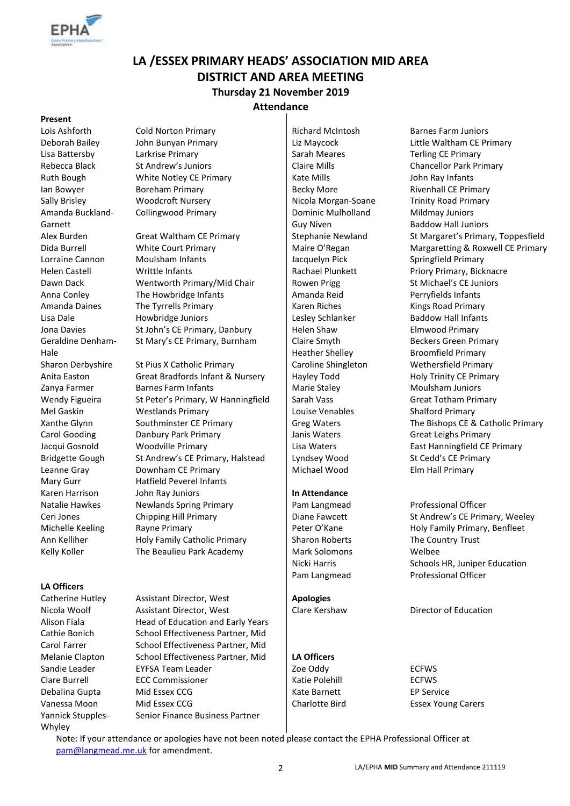

# **LA /ESSEX PRIMARY HEADS' ASSOCIATION MID AREA DISTRICT AND AREA MEETING Thursday 21 November 2019 Attendance**

#### **Present**

Amanda Buckland-Garnett Geraldine Denham-Hale

#### **LA Officers**

Yannick Stupples-Whyley

Lois Ashforth Cold Norton Primary Richard McIntosh Barnes Farm Juniors Lisa Battersby Larkrise Primary **Sarah Meares** Sarah Meares Terling CE Primary Rebecca Black St Andrew's Juniors Chancellor Park Primary Chancellor Park Primary Ruth Bough **White Notley CE Primary** Kate Mills **Kate Mills** John Ray Infants Ian Bowyer **Boreham Primary Becky More** Becky More Rivenhall CE Primary Sally Brisley **Woodcroft Nursery Nicola Morgan-Soane** Trinity Road Primary Collingwood Primary **Dominic Mulholland** 

Lorraine Cannon Moulsham Infants Jacquelyn Pick Springfield Primary Helen Castell **Writtle Infants** Rachael Plunkett **Priory Primary, Bicknacre** Dawn Dack Wentworth Primary/Mid Chair Rowen Prigg St Michael's CE Juniors Anna Conley The Howbridge Infants Amanda Reid Perryfields Infants Amanda Daines The Tyrrells Primary National Riches Network (Kings Road Primary Lisa Dale **Howbridge Juniors Lesley Schlanker** Baddow Hall Infants Jona Davies St John's CE Primary, Danbury Helen Shaw Elmwood Primary St Mary's CE Primary, Burnham | Claire Smyth

Sharon Derbyshire St Pius X Catholic Primary Caroline Shingleton Wethersfield Primary Anita Easton Great Bradfords Infant & Nursery Hayley Todd Holy Trinity CE Primary Zanya Farmer Barnes Farm Infants Marie Staley Moulsham Juniors Wendy Figueira St Peter's Primary, W Hanningfield Sarah Vass Great Totham Primary Mel Gaskin Westlands Primary Louise Venables Shalford Primary Carol Gooding **Danbury Park Primary Carol Structure Carol Gooding Carol Carol Cooding Carol** Janis Waters Great Leighs Primary Jacqui Gosnold Woodville Primary Lisa Waters East Hanningfield CE Primary Bridgette Gough St Andrew's CE Primary, Halstead Lyndsey Wood St Cedd's CE Primary Leanne Gray **Downham CE Primary Michael Wood** Elm Hall Primary Mary Gurr Hatfield Peverel Infants Karen Harrison **In Allemance** John Ray Juniors **In Attendance** Natalie Hawkes Newlands Spring Primary Pam Langmead Professional Officer Ceri Jones Chipping Hill Primary Diane Fawcett St Andrew's CE Primary, Weeley Michelle Keeling Rayne Primary **Peter O'Kane** Peter O'Kane Holy Family Primary, Benfleet Ann Kelliher **Holy Family Catholic Primary** Sharon Roberts The Country Trust Kelly Koller The Beaulieu Park Academy Mark Solomons Welbee

Catherine Hutley Assistant Director, West **Apologies** Nicola Woolf **Assistant Director, West** Clare Kershaw **Director of Education** Alison Fiala **Head of Education and Early Years** Cathie Bonich School Effectiveness Partner, Mid Carol Farrer School Effectiveness Partner, Mid Melanie Clapton School Effectiveness Partner, Mid **LA Officers** Sandie Leader **EXEL EXES EXECUTE:** EXECT VIOLET And Leader **EXECUTE:** Zoe Oddy **EXECUTE:** ECFWS Clare Burrell **ECC Commissioner** ECFWS **Katie Polehill** ECFWS Debalina Gupta Mid Essex CCG Kate Barnett EP Service Vanessa Moon Mid Essex CCG and Charlotte Bird Essex Young Carers Senior Finance Business Partner

Guy Niven Heather Shelley

Deborah Bailey John Bunyan Primary Liz Maycock Little Waltham CE Primary Mildmay Juniors Baddow Hall Juniors Alex Burden Great Waltham CE Primary Stephanie Newland St Margaret's Primary, Toppesfield Dida Burrell **White Court Primary** Naire O'Regan Margaretting & Roxwell CE Primary Beckers Green Primary Broomfield Primary Xanthe Glynn Southminster CE Primary Greg Waters The Bishops CE & Catholic Primary

Nicki Harris Schools HR, Juniper Education Pam Langmead Professional Officer

Note: If your attendance or apologies have not been noted please contact the EPHA Professional Officer at [pam@langmead.me.uk](mailto:pam@langmead.me.uk) for amendment.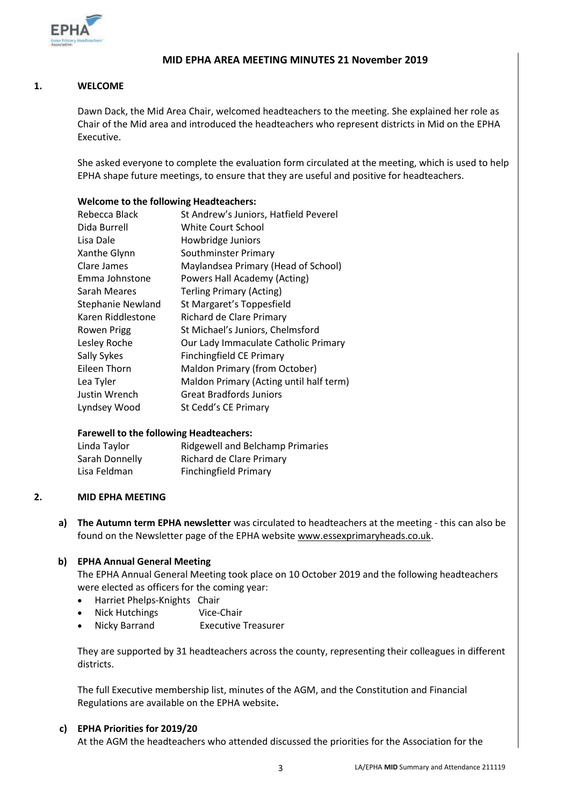

### **MID EPHA AREA MEETING MINUTES 21 November 2019**

#### **1. WELCOME**

Dawn Dack, the Mid Area Chair, welcomed headteachers to the meeting. She explained her role as Chair of the Mid area and introduced the headteachers who represent districts in Mid on the EPHA Executive.

She asked everyone to complete the evaluation form circulated at the meeting, which is used to help EPHA shape future meetings, to ensure that they are useful and positive for headteachers.

#### **Welcome to the following Headteachers:**

| Rebecca Black            | St Andrew's Juniors, Hatfield Peverel   |
|--------------------------|-----------------------------------------|
| Dida Burrell             | White Court School                      |
| Lisa Dale                | Howbridge Juniors                       |
| Xanthe Glynn             | Southminster Primary                    |
| Clare James              | Maylandsea Primary (Head of School)     |
| Emma Johnstone           | Powers Hall Academy (Acting)            |
| Sarah Meares             | <b>Terling Primary (Acting)</b>         |
| <b>Stephanie Newland</b> | St Margaret's Toppesfield               |
| Karen Riddlestone        | Richard de Clare Primary                |
| Rowen Prigg              | St Michael's Juniors, Chelmsford        |
| Lesley Roche             | Our Lady Immaculate Catholic Primary    |
| Sally Sykes              | <b>Finchingfield CE Primary</b>         |
| Eileen Thorn             | Maldon Primary (from October)           |
| Lea Tyler                | Maldon Primary (Acting until half term) |
| Justin Wrench            | Great Bradfords Juniors                 |
| Lyndsey Wood             | St Cedd's CE Primary                    |

#### **Farewell to the following Headteachers:**

| Linda Taylor   | <b>Ridgewell and Belchamp Primaries</b> |
|----------------|-----------------------------------------|
| Sarah Donnelly | Richard de Clare Primary                |
| Lisa Feldman   | <b>Finchingfield Primary</b>            |

#### **2. MID EPHA MEETING**

**a) The Autumn term EPHA newsletter** was circulated to headteachers at the meeting - this can also be found on the Newsletter page of the EPHA website [www.essexprimaryheads.co.uk.](http://www.essexprimaryheads.co.uk/)

#### **b) EPHA Annual General Meeting**

The EPHA Annual General Meeting took place on 10 October 2019 and the following headteachers were elected as officers for the coming year:

- Harriet Phelps-Knights Chair
- Nick Hutchings Vice-Chair
- Nicky Barrand Executive Treasurer

They are supported by 31 headteachers across the county, representing their colleagues in different districts.

The full Executive membership list, minutes of the AGM, and the Constitution and Financial Regulations are available on the EPHA website**.** 

#### **c) EPHA Priorities for 2019/20**

At the AGM the headteachers who attended discussed the priorities for the Association for the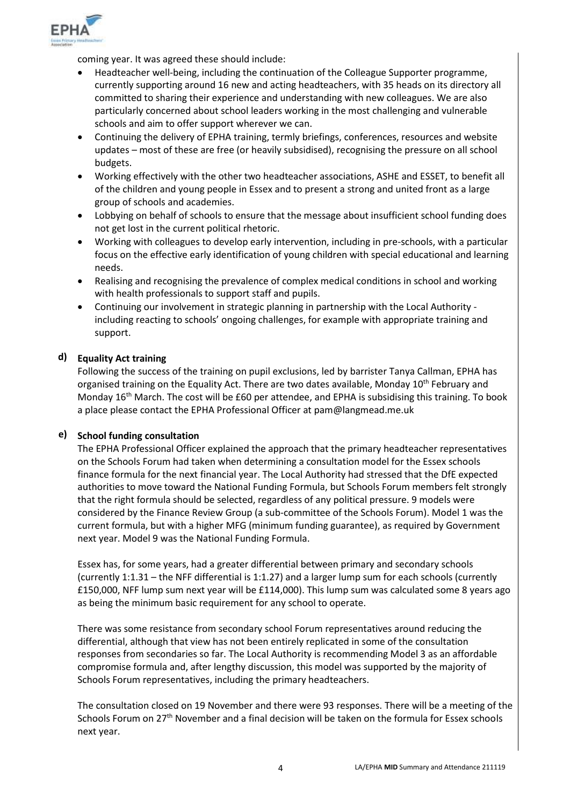

coming year. It was agreed these should include:

- Headteacher well-being, including the continuation of the Colleague Supporter programme, currently supporting around 16 new and acting headteachers, with 35 heads on its directory all committed to sharing their experience and understanding with new colleagues. We are also particularly concerned about school leaders working in the most challenging and vulnerable schools and aim to offer support wherever we can.
- Continuing the delivery of EPHA training, termly briefings, conferences, resources and website updates – most of these are free (or heavily subsidised), recognising the pressure on all school budgets.
- Working effectively with the other two headteacher associations, ASHE and ESSET, to benefit all of the children and young people in Essex and to present a strong and united front as a large group of schools and academies.
- Lobbying on behalf of schools to ensure that the message about insufficient school funding does not get lost in the current political rhetoric.
- Working with colleagues to develop early intervention, including in pre-schools, with a particular focus on the effective early identification of young children with special educational and learning needs.
- Realising and recognising the prevalence of complex medical conditions in school and working with health professionals to support staff and pupils.
- Continuing our involvement in strategic planning in partnership with the Local Authority including reacting to schools' ongoing challenges, for example with appropriate training and support.

### **d) Equality Act training**

Following the success of the training on pupil exclusions, led by barrister Tanya Callman, EPHA has organised training on the Equality Act. There are two dates available, Monday 10<sup>th</sup> February and Monday 16<sup>th</sup> March. The cost will be £60 per attendee, and EPHA is subsidising this training. To book a place please contact the EPHA Professional Officer at pam@langmead.me.uk

### **e) School funding consultation**

The EPHA Professional Officer explained the approach that the primary headteacher representatives on the Schools Forum had taken when determining a consultation model for the Essex schools finance formula for the next financial year. The Local Authority had stressed that the DfE expected authorities to move toward the National Funding Formula, but Schools Forum members felt strongly that the right formula should be selected, regardless of any political pressure. 9 models were considered by the Finance Review Group (a sub-committee of the Schools Forum). Model 1 was the current formula, but with a higher MFG (minimum funding guarantee), as required by Government next year. Model 9 was the National Funding Formula.

Essex has, for some years, had a greater differential between primary and secondary schools (currently 1:1.31 – the NFF differential is 1:1.27) and a larger lump sum for each schools (currently £150,000, NFF lump sum next year will be £114,000). This lump sum was calculated some 8 years ago as being the minimum basic requirement for any school to operate.

There was some resistance from secondary school Forum representatives around reducing the differential, although that view has not been entirely replicated in some of the consultation responses from secondaries so far. The Local Authority is recommending Model 3 as an affordable compromise formula and, after lengthy discussion, this model was supported by the majority of Schools Forum representatives, including the primary headteachers.

The consultation closed on 19 November and there were 93 responses. There will be a meeting of the Schools Forum on 27<sup>th</sup> November and a final decision will be taken on the formula for Essex schools next year.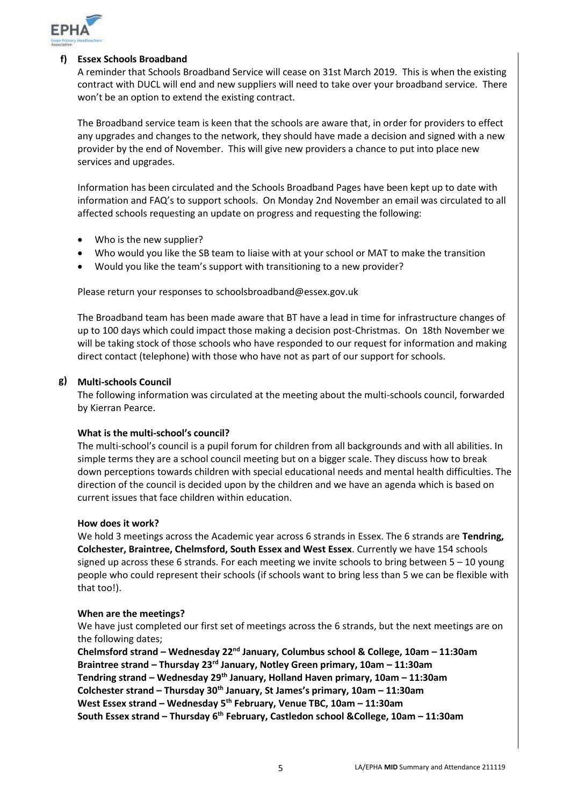

#### **f) Essex Schools Broadband**

A reminder that Schools Broadband Service will cease on 31st March 2019. This is when the existing contract with DUCL will end and new suppliers will need to take over your broadband service. There won't be an option to extend the existing contract.

The Broadband service team is keen that the schools are aware that, in order for providers to effect any upgrades and changes to the network, they should have made a decision and signed with a new provider by the end of November. This will give new providers a chance to put into place new services and upgrades.

Information has been circulated and the [Schools Broadband Pages](https://eur02.safelinks.protection.outlook.com/?url=https%3A%2F%2Fschools.essex.gov.uk%2Fadmin%2FBroadband%2FPages%2FBroadband.aspx&data=02%7C01%7C%7C75458fae09d34e13cdcf08d763913b54%7Ca8b4324f155c4215a0f17ed8cc9a992f%7C0%7C0%7C637087348365431782&sdata=YSYlUWeu5nc4TD%2BKZPjR%2Bzzm5wj0j26qppUaPNjFOlU%3D&reserved=0) have been kept up to date with information and FAQ's to support schools. On Monday 2nd November an email was circulated to all affected schools requesting an update on progress and requesting the following:

- Who is the new supplier?
- Who would you like the SB team to liaise with at your school or MAT to make the transition
- Would you like the team's support with transitioning to a new provider?

Please return your responses to [schoolsbroadband@essex.gov.uk](mailto:schoolsbroadband@essex.gov.uk)

The Broadband team has been made aware that BT have a lead in time for infrastructure changes of up to 100 days which could impact those making a decision post-Christmas. On 18th November we will be taking stock of those schools who have responded to our request for information and making direct contact (telephone) with those who have not as part of our support for schools.

### **g) Multi-schools Council**

The following information was circulated at the meeting about the multi-schools council, forwarded by Kierran Pearce.

#### **What is the multi-school's council?**

The multi-school's council is a pupil forum for children from all backgrounds and with all abilities. In simple terms they are a school council meeting but on a bigger scale. They discuss how to break down perceptions towards children with special educational needs and mental health difficulties. The direction of the council is decided upon by the children and we have an agenda which is based on current issues that face children within education.

#### **How does it work?**

We hold 3 meetings across the Academic year across 6 strands in Essex. The 6 strands are **Tendring, Colchester, Braintree, Chelmsford, South Essex and West Essex**. Currently we have 154 schools signed up across these 6 strands. For each meeting we invite schools to bring between  $5 - 10$  young people who could represent their schools (if schools want to bring less than 5 we can be flexible with that too!).

#### **When are the meetings?**

We have just completed our first set of meetings across the 6 strands, but the next meetings are on the following dates;

**Chelmsford strand – Wednesday 22nd January, Columbus school & College, 10am – 11:30am Braintree strand – Thursday 23rd January, Notley Green primary, 10am – 11:30am Tendring strand – Wednesday 29 th January, Holland Haven primary, 10am – 11:30am Colchester strand – Thursday 30th January, St James's primary, 10am – 11:30am West Essex strand – Wednesday 5th February, Venue TBC, 10am – 11:30am South Essex strand – Thursday 6th February, Castledon school &College, 10am – 11:30am**